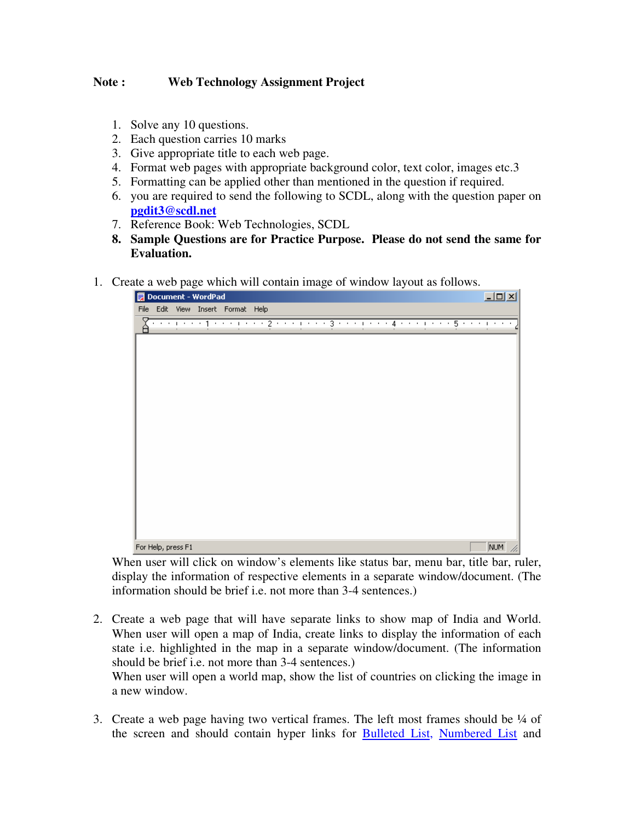## **Note : Web Technology Assignment Project**

- 1. Solve any 10 questions.
- 2. Each question carries 10 marks
- 3. Give appropriate title to each web page.
- 4. Format web pages with appropriate background color, text color, images etc.3
- 5. Formatting can be applied other than mentioned in the question if required.
- 6. you are required to send the following to SCDL, along with the question paper on **pgdit3@scdl.net**
- 7. Reference Book: Web Technologies, SCDL
- **8. Sample Questions are for Practice Purpose. Please do not send the same for Evaluation.**
- 1. Create a web page which will contain image of window layout as follows.



When user will click on window's elements like status bar, menu bar, title bar, ruler, display the information of respective elements in a separate window/document. (The information should be brief i.e. not more than 3-4 sentences.)

2. Create a web page that will have separate links to show map of India and World. When user will open a map of India, create links to display the information of each state i.e. highlighted in the map in a separate window/document. (The information should be brief i.e. not more than 3-4 sentences.)

When user will open a world map, show the list of countries on clicking the image in a new window.

3. Create a web page having two vertical frames. The left most frames should be  $\frac{1}{4}$  of the screen and should contain hyper links for Bulleted List, Numbered List and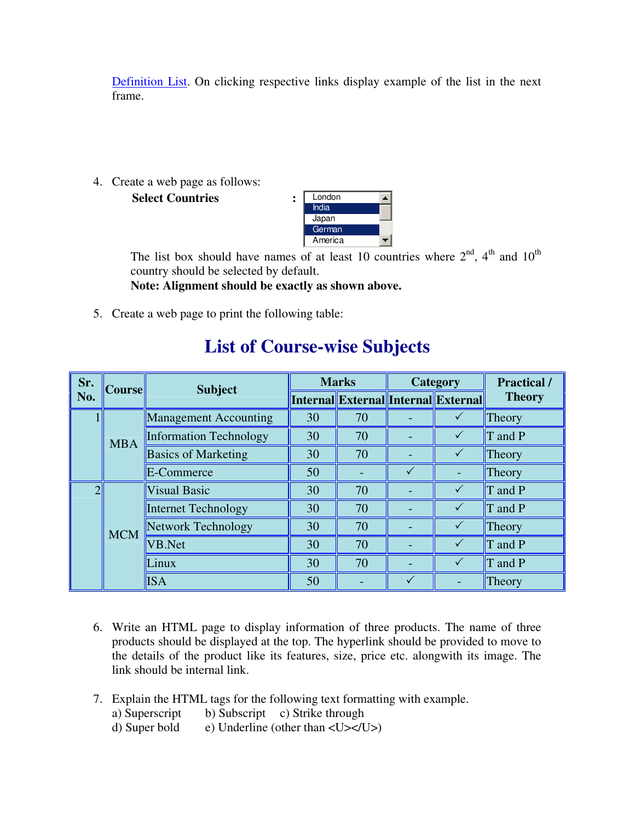Definition List. On clicking respective links display example of the list in the next frame.

4. Create a web page as follows:

**Select Countries :** London



The list box should have names of at least 10 countries where  $2<sup>nd</sup>$ ,  $4<sup>th</sup>$  and  $10<sup>th</sup>$ country should be selected by default.

**Note: Alignment should be exactly as shown above.** 

5. Create a web page to print the following table:

| Sr.           | <b>Course</b> | <b>Subject</b>                | <b>Marks</b> |                                            | Category     |              | <b>Practical</b> / |
|---------------|---------------|-------------------------------|--------------|--------------------------------------------|--------------|--------------|--------------------|
| No.           |               |                               |              | <b>Internal External Internal External</b> |              |              | <b>Theory</b>      |
|               | <b>MBA</b>    | <b>Management Accounting</b>  | 30           | 70                                         |              |              | Theory             |
|               |               | <b>Information Technology</b> | 30           | 70                                         |              |              | T and P            |
|               |               | <b>Basics of Marketing</b>    | 30           | 70                                         |              |              | Theory             |
|               |               | E-Commerce                    | 50           |                                            | $\checkmark$ |              | Theory             |
| $\mathcal{D}$ | <b>MCM</b>    | <b>Visual Basic</b>           | 30           | 70                                         |              | $\checkmark$ | T and P            |
|               |               | <b>Internet Technology</b>    | 30           | 70                                         |              |              | T and P            |
|               |               | <b>Network Technology</b>     | 30           | 70                                         |              |              | Theory             |
|               |               | VB.Net                        | 30           | 70                                         |              | $\checkmark$ | T and P            |
|               |               | Linux                         | 30           | 70                                         |              |              | T and P            |
|               |               | <b>ISA</b>                    | 50           |                                            |              |              | Theory             |

# **List of Course-wise Subjects**

- 6. Write an HTML page to display information of three products. The name of three products should be displayed at the top. The hyperlink should be provided to move to the details of the product like its features, size, price etc. alongwith its image. The link should be internal link.
- 7. Explain the HTML tags for the following text formatting with example.
	- a) Superscript b) Subscript c) Strike through<br>d) Super bold e) Underline (other than <U></I
	- e) Underline (other than  $\langle U \rangle \langle U \rangle$ )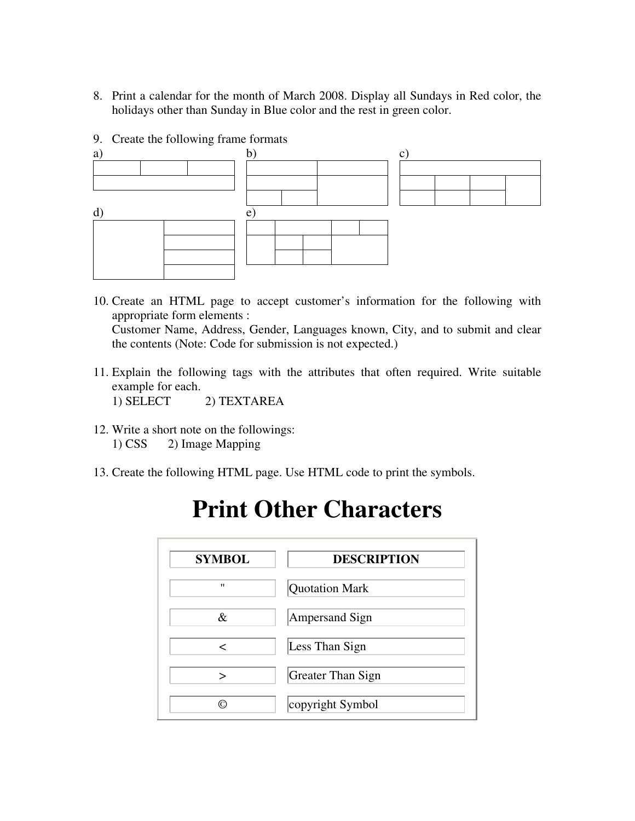- 8. Print a calendar for the month of March 2008. Display all Sundays in Red color, the holidays other than Sunday in Blue color and the rest in green color.
- 9. Create the following frame formats



- 10. Create an HTML page to accept customer's information for the following with appropriate form elements : Customer Name, Address, Gender, Languages known, City, and to submit and clear the contents (Note: Code for submission is not expected.)
- 11. Explain the following tags with the attributes that often required. Write suitable example for each.

1) SELECT 2) TEXTAREA

- 12. Write a short note on the followings: 1) CSS 2) Image Mapping
- 13. Create the following HTML page. Use HTML code to print the symbols.

| <b>SYMBOL</b> | <b>DESCRIPTION</b>    |
|---------------|-----------------------|
| $^{\prime}$   | <b>Quotation Mark</b> |
| &             | <b>Ampersand Sign</b> |
| <             | Less Than Sign        |
| ↘             | Greater Than Sign     |
| ⊚             | copyright Symbol      |

# **Print Other Characters**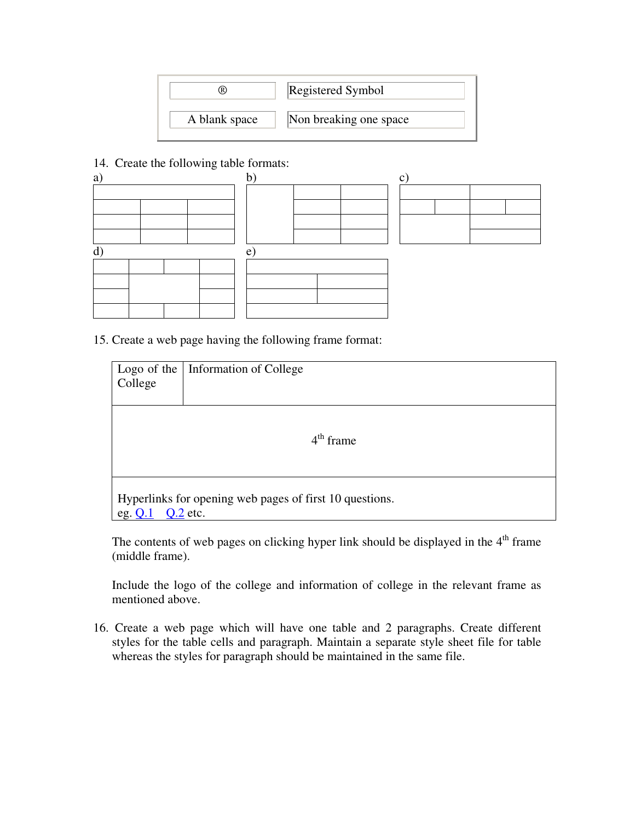

#### 14. Create the following table formats:



15. Create a web page having the following frame format:

| College                                                                            | Logo of the   Information of College |  |  |  |  |  |  |  |
|------------------------------------------------------------------------------------|--------------------------------------|--|--|--|--|--|--|--|
| $4th$ frame                                                                        |                                      |  |  |  |  |  |  |  |
| Hyperlinks for opening web pages of first 10 questions.<br>$Q.2$ etc.<br>eg. $Q.1$ |                                      |  |  |  |  |  |  |  |

The contents of web pages on clicking hyper link should be displayed in the  $4<sup>th</sup>$  frame (middle frame).

Include the logo of the college and information of college in the relevant frame as mentioned above.

16. Create a web page which will have one table and 2 paragraphs. Create different styles for the table cells and paragraph. Maintain a separate style sheet file for table whereas the styles for paragraph should be maintained in the same file.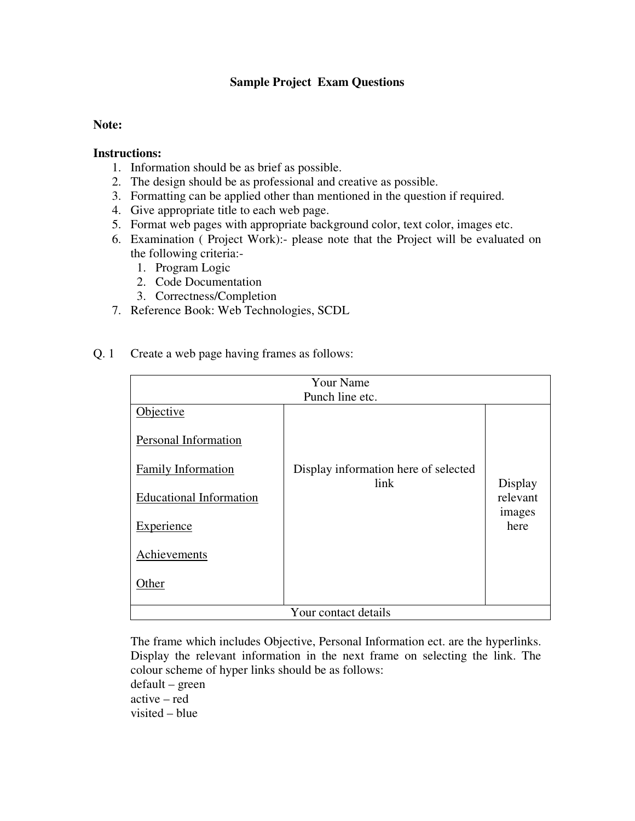### **Sample Project Exam Questions**

#### **Note:**

#### **Instructions:**

- 1. Information should be as brief as possible.
- 2. The design should be as professional and creative as possible.
- 3. Formatting can be applied other than mentioned in the question if required.
- 4. Give appropriate title to each web page.
- 5. Format web pages with appropriate background color, text color, images etc.
- 6. Examination ( Project Work):- please note that the Project will be evaluated on the following criteria:-
	- 1. Program Logic
	- 2. Code Documentation
	- 3. Correctness/Completion
- 7. Reference Book: Web Technologies, SCDL
- Q. 1 Create a web page having frames as follows:

| <b>Your Name</b><br>Punch line etc. |                                              |                    |  |  |  |  |
|-------------------------------------|----------------------------------------------|--------------------|--|--|--|--|
| Objective                           |                                              |                    |  |  |  |  |
| Personal Information                |                                              |                    |  |  |  |  |
| <b>Family Information</b>           | Display information here of selected<br>link | Display            |  |  |  |  |
| <b>Educational Information</b>      |                                              | relevant<br>images |  |  |  |  |
| <b>Experience</b>                   |                                              | here               |  |  |  |  |
| Achievements                        |                                              |                    |  |  |  |  |
| Other                               |                                              |                    |  |  |  |  |
| Your contact details                |                                              |                    |  |  |  |  |

The frame which includes Objective, Personal Information ect. are the hyperlinks. Display the relevant information in the next frame on selecting the link. The colour scheme of hyper links should be as follows: default – green active – red visited – blue